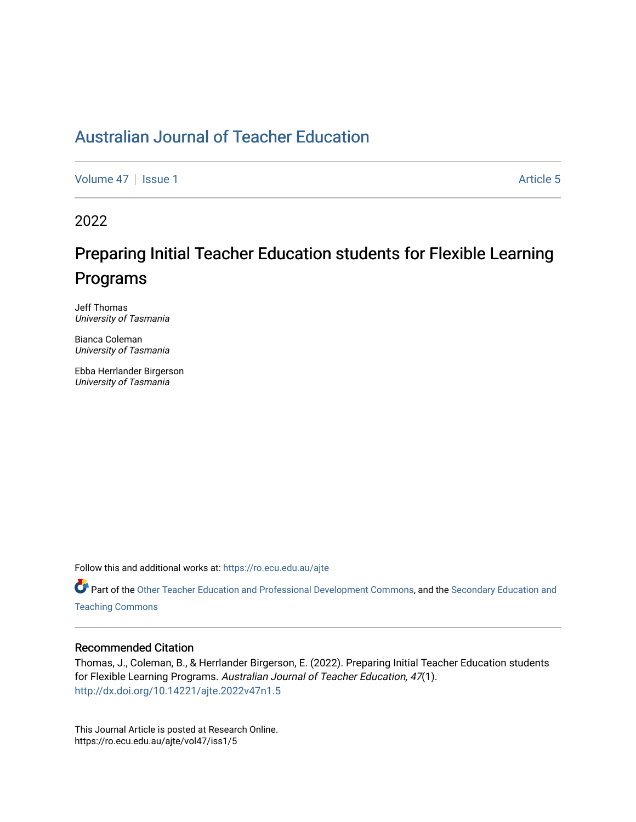## [Australian Journal of Teacher Education](https://ro.ecu.edu.au/ajte)

[Volume 47](https://ro.ecu.edu.au/ajte/vol47) | [Issue 1](https://ro.ecu.edu.au/ajte/vol47/iss1) Article 5

2022

# Preparing Initial Teacher Education students for Flexible Learning Programs

Jeff Thomas University of Tasmania

Bianca Coleman University of Tasmania

Ebba Herrlander Birgerson University of Tasmania

Follow this and additional works at: [https://ro.ecu.edu.au/ajte](https://ro.ecu.edu.au/ajte?utm_source=ro.ecu.edu.au%2Fajte%2Fvol47%2Fiss1%2F5&utm_medium=PDF&utm_campaign=PDFCoverPages) 

Part of the [Other Teacher Education and Professional Development Commons,](http://network.bepress.com/hgg/discipline/810?utm_source=ro.ecu.edu.au%2Fajte%2Fvol47%2Fiss1%2F5&utm_medium=PDF&utm_campaign=PDFCoverPages) and the [Secondary Education and](http://network.bepress.com/hgg/discipline/809?utm_source=ro.ecu.edu.au%2Fajte%2Fvol47%2Fiss1%2F5&utm_medium=PDF&utm_campaign=PDFCoverPages) [Teaching Commons](http://network.bepress.com/hgg/discipline/809?utm_source=ro.ecu.edu.au%2Fajte%2Fvol47%2Fiss1%2F5&utm_medium=PDF&utm_campaign=PDFCoverPages)

#### Recommended Citation

Thomas, J., Coleman, B., & Herrlander Birgerson, E. (2022). Preparing Initial Teacher Education students for Flexible Learning Programs. Australian Journal of Teacher Education, 47(1). <http://dx.doi.org/10.14221/ajte.2022v47n1.5>

This Journal Article is posted at Research Online. https://ro.ecu.edu.au/ajte/vol47/iss1/5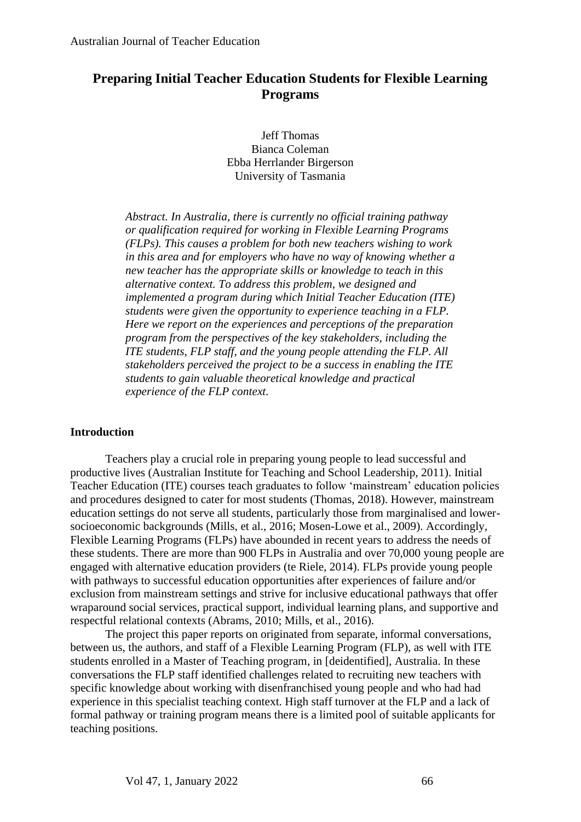## **Preparing Initial Teacher Education Students for Flexible Learning Programs**

Jeff Thomas Bianca Coleman Ebba Herrlander Birgerson University of Tasmania

*Abstract. In Australia, there is currently no official training pathway or qualification required for working in Flexible Learning Programs (FLPs). This causes a problem for both new teachers wishing to work in this area and for employers who have no way of knowing whether a new teacher has the appropriate skills or knowledge to teach in this alternative context. To address this problem, we designed and implemented a program during which Initial Teacher Education (ITE) students were given the opportunity to experience teaching in a FLP. Here we report on the experiences and perceptions of the preparation program from the perspectives of the key stakeholders, including the ITE students, FLP staff, and the young people attending the FLP. All stakeholders perceived the project to be a success in enabling the ITE students to gain valuable theoretical knowledge and practical experience of the FLP context.*

#### **Introduction**

Teachers play a crucial role in preparing young people to lead successful and productive lives (Australian Institute for Teaching and School Leadership, 2011). Initial Teacher Education (ITE) courses teach graduates to follow 'mainstream' education policies and procedures designed to cater for most students (Thomas, 2018). However, mainstream education settings do not serve all students, particularly those from marginalised and lowersocioeconomic backgrounds (Mills, et al., 2016; Mosen-Lowe et al., 2009). Accordingly, Flexible Learning Programs (FLPs) have abounded in recent years to address the needs of these students. There are more than 900 FLPs in Australia and over 70,000 young people are engaged with alternative education providers (te Riele, 2014). FLPs provide young people with pathways to successful education opportunities after experiences of failure and/or exclusion from mainstream settings and strive for inclusive educational pathways that offer wraparound social services, practical support, individual learning plans, and supportive and respectful relational contexts (Abrams, 2010; Mills, et al., 2016).

The project this paper reports on originated from separate, informal conversations, between us, the authors, and staff of a Flexible Learning Program (FLP), as well with ITE students enrolled in a Master of Teaching program, in [deidentified], Australia. In these conversations the FLP staff identified challenges related to recruiting new teachers with specific knowledge about working with disenfranchised young people and who had had experience in this specialist teaching context. High staff turnover at the FLP and a lack of formal pathway or training program means there is a limited pool of suitable applicants for teaching positions.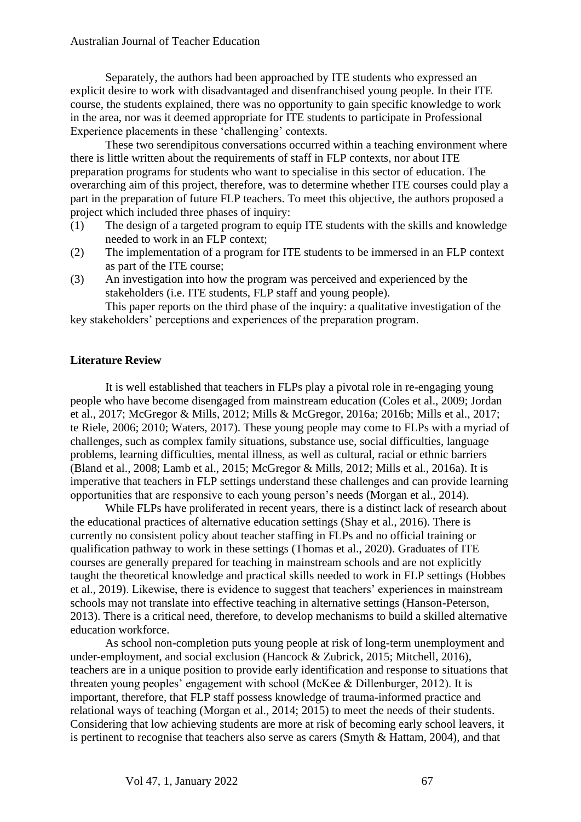Separately, the authors had been approached by ITE students who expressed an explicit desire to work with disadvantaged and disenfranchised young people. In their ITE course, the students explained, there was no opportunity to gain specific knowledge to work in the area, nor was it deemed appropriate for ITE students to participate in Professional Experience placements in these 'challenging' contexts.

These two serendipitous conversations occurred within a teaching environment where there is little written about the requirements of staff in FLP contexts, nor about ITE preparation programs for students who want to specialise in this sector of education. The overarching aim of this project, therefore, was to determine whether ITE courses could play a part in the preparation of future FLP teachers. To meet this objective, the authors proposed a project which included three phases of inquiry:

- (1) The design of a targeted program to equip ITE students with the skills and knowledge needed to work in an FLP context;
- (2) The implementation of a program for ITE students to be immersed in an FLP context as part of the ITE course;
- (3) An investigation into how the program was perceived and experienced by the stakeholders (i.e. ITE students, FLP staff and young people).

This paper reports on the third phase of the inquiry: a qualitative investigation of the key stakeholders' perceptions and experiences of the preparation program.

### **Literature Review**

It is well established that teachers in FLPs play a pivotal role in re-engaging young people who have become disengaged from mainstream education (Coles et al., 2009; Jordan et al., 2017; McGregor & Mills, 2012; Mills & McGregor, 2016a; 2016b; Mills et al., 2017; te Riele, 2006; 2010; Waters, 2017). These young people may come to FLPs with a myriad of challenges, such as complex family situations, substance use, social difficulties, language problems, learning difficulties, mental illness, as well as cultural, racial or ethnic barriers (Bland et al., 2008; Lamb et al., 2015; McGregor & Mills, 2012; Mills et al., 2016a). It is imperative that teachers in FLP settings understand these challenges and can provide learning opportunities that are responsive to each young person's needs (Morgan et al., 2014).

While FLPs have proliferated in recent years, there is a distinct lack of research about the educational practices of alternative education settings (Shay et al., 2016). There is currently no consistent policy about teacher staffing in FLPs and no official training or qualification pathway to work in these settings (Thomas et al., 2020). Graduates of ITE courses are generally prepared for teaching in mainstream schools and are not explicitly taught the theoretical knowledge and practical skills needed to work in FLP settings (Hobbes et al., 2019). Likewise, there is evidence to suggest that teachers' experiences in mainstream schools may not translate into effective teaching in alternative settings (Hanson-Peterson, 2013). There is a critical need, therefore, to develop mechanisms to build a skilled alternative education workforce.

As school non-completion puts young people at risk of long-term unemployment and under-employment, and social exclusion (Hancock & Zubrick, 2015; Mitchell, 2016), teachers are in a unique position to provide early identification and response to situations that threaten young peoples' engagement with school (McKee & Dillenburger, 2012). It is important, therefore, that FLP staff possess knowledge of trauma-informed practice and relational ways of teaching (Morgan et al., 2014; 2015) to meet the needs of their students. Considering that low achieving students are more at risk of becoming early school leavers, it is pertinent to recognise that teachers also serve as carers (Smyth & Hattam, 2004), and that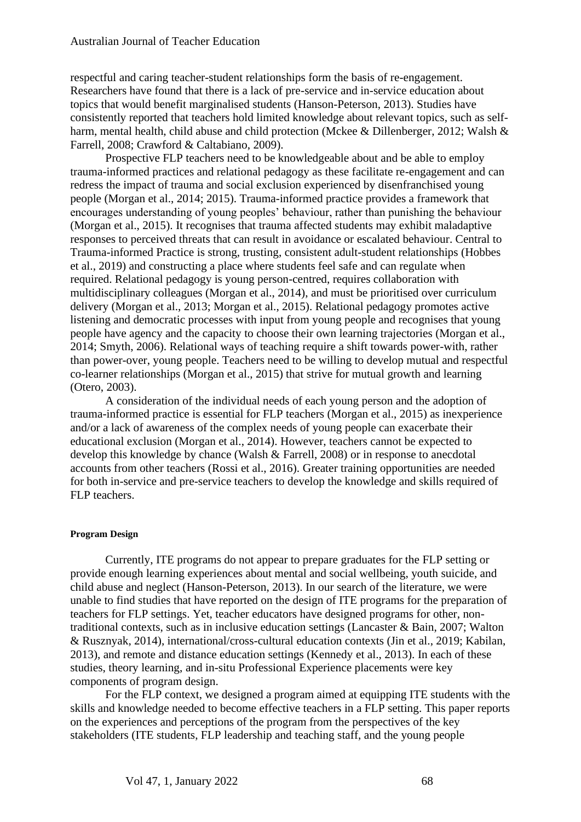respectful and caring teacher-student relationships form the basis of re-engagement. Researchers have found that there is a lack of pre-service and in-service education about topics that would benefit marginalised students (Hanson-Peterson, 2013). Studies have consistently reported that teachers hold limited knowledge about relevant topics, such as selfharm, mental health, child abuse and child protection (Mckee & Dillenberger, 2012; Walsh & Farrell, 2008; Crawford & Caltabiano, 2009).

Prospective FLP teachers need to be knowledgeable about and be able to employ trauma-informed practices and relational pedagogy as these facilitate re-engagement and can redress the impact of trauma and social exclusion experienced by disenfranchised young people (Morgan et al., 2014; 2015). Trauma-informed practice provides a framework that encourages understanding of young peoples' behaviour, rather than punishing the behaviour (Morgan et al., 2015). It recognises that trauma affected students may exhibit maladaptive responses to perceived threats that can result in avoidance or escalated behaviour. Central to Trauma-informed Practice is strong, trusting, consistent adult-student relationships (Hobbes et al., 2019) and constructing a place where students feel safe and can regulate when required. Relational pedagogy is young person-centred, requires collaboration with multidisciplinary colleagues (Morgan et al., 2014), and must be prioritised over curriculum delivery (Morgan et al., 2013; Morgan et al., 2015). Relational pedagogy promotes active listening and democratic processes with input from young people and recognises that young people have agency and the capacity to choose their own learning trajectories (Morgan et al., 2014; Smyth, 2006). Relational ways of teaching require a shift towards power-with, rather than power-over, young people. Teachers need to be willing to develop mutual and respectful co-learner relationships (Morgan et al., 2015) that strive for mutual growth and learning (Otero, 2003).

A consideration of the individual needs of each young person and the adoption of trauma-informed practice is essential for FLP teachers (Morgan et al., 2015) as inexperience and/or a lack of awareness of the complex needs of young people can exacerbate their educational exclusion (Morgan et al., 2014). However, teachers cannot be expected to develop this knowledge by chance (Walsh & Farrell, 2008) or in response to anecdotal accounts from other teachers (Rossi et al., 2016). Greater training opportunities are needed for both in-service and pre-service teachers to develop the knowledge and skills required of FLP teachers.

#### **Program Design**

Currently, ITE programs do not appear to prepare graduates for the FLP setting or provide enough learning experiences about mental and social wellbeing, youth suicide, and child abuse and neglect (Hanson-Peterson, 2013). In our search of the literature, we were unable to find studies that have reported on the design of ITE programs for the preparation of teachers for FLP settings. Yet, teacher educators have designed programs for other, nontraditional contexts, such as in inclusive education settings (Lancaster & Bain, 2007; Walton & Rusznyak, 2014), international/cross-cultural education contexts (Jin et al., 2019; Kabilan, 2013), and remote and distance education settings (Kennedy et al., 2013). In each of these studies, theory learning, and in-situ Professional Experience placements were key components of program design.

For the FLP context, we designed a program aimed at equipping ITE students with the skills and knowledge needed to become effective teachers in a FLP setting. This paper reports on the experiences and perceptions of the program from the perspectives of the key stakeholders (ITE students, FLP leadership and teaching staff, and the young people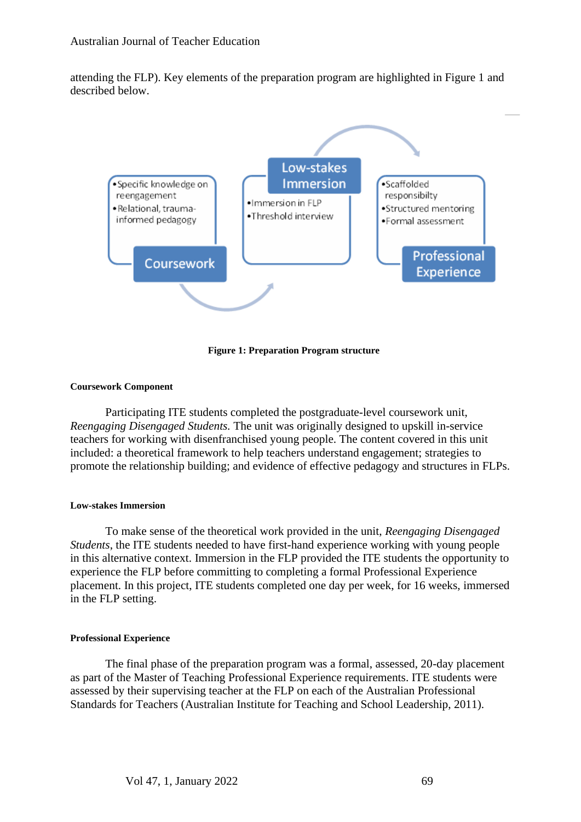attending the FLP). Key elements of the preparation program are highlighted in Figure 1 and described below.



**Figure 1: Preparation Program structure**

#### **Coursework Component**

Participating ITE students completed the postgraduate-level coursework unit, *Reengaging Disengaged Students.* The unit was originally designed to upskill in-service teachers for working with disenfranchised young people. The content covered in this unit included: a theoretical framework to help teachers understand engagement; strategies to promote the relationship building; and evidence of effective pedagogy and structures in FLPs.

#### **Low-stakes Immersion**

To make sense of the theoretical work provided in the unit, *Reengaging Disengaged Students*, the ITE students needed to have first-hand experience working with young people in this alternative context. Immersion in the FLP provided the ITE students the opportunity to experience the FLP before committing to completing a formal Professional Experience placement. In this project, ITE students completed one day per week, for 16 weeks, immersed in the FLP setting.

#### **Professional Experience**

The final phase of the preparation program was a formal, assessed, 20-day placement as part of the Master of Teaching Professional Experience requirements. ITE students were assessed by their supervising teacher at the FLP on each of the Australian Professional Standards for Teachers (Australian Institute for Teaching and School Leadership, 2011).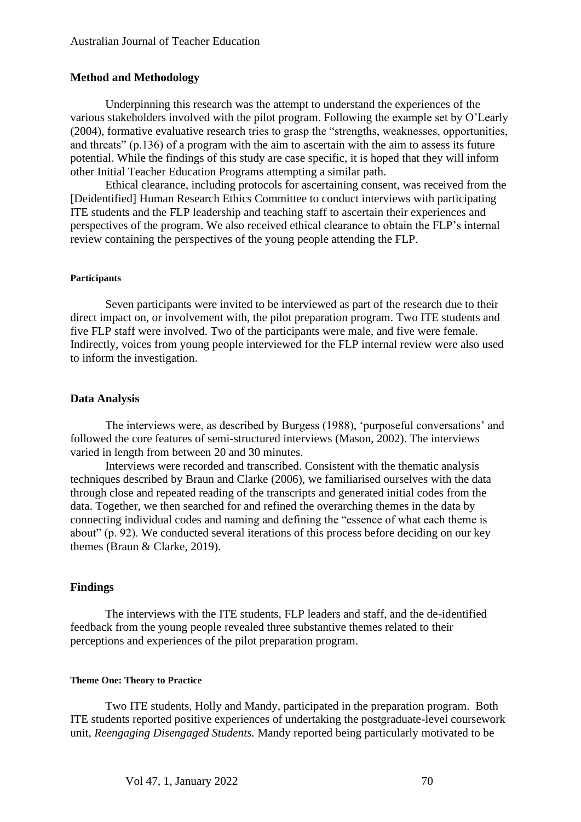#### **Method and Methodology**

Underpinning this research was the attempt to understand the experiences of the various stakeholders involved with the pilot program. Following the example set by O'Learly (2004), formative evaluative research tries to grasp the "strengths, weaknesses, opportunities, and threats" (p.136) of a program with the aim to ascertain with the aim to assess its future potential. While the findings of this study are case specific, it is hoped that they will inform other Initial Teacher Education Programs attempting a similar path.

Ethical clearance, including protocols for ascertaining consent, was received from the [Deidentified] Human Research Ethics Committee to conduct interviews with participating ITE students and the FLP leadership and teaching staff to ascertain their experiences and perspectives of the program. We also received ethical clearance to obtain the FLP's internal review containing the perspectives of the young people attending the FLP.

#### **Participants**

Seven participants were invited to be interviewed as part of the research due to their direct impact on, or involvement with, the pilot preparation program. Two ITE students and five FLP staff were involved. Two of the participants were male, and five were female. Indirectly, voices from young people interviewed for the FLP internal review were also used to inform the investigation.

#### **Data Analysis**

The interviews were, as described by Burgess (1988), 'purposeful conversations' and followed the core features of semi-structured interviews (Mason, 2002). The interviews varied in length from between 20 and 30 minutes.

Interviews were recorded and transcribed. Consistent with the thematic analysis techniques described by Braun and Clarke (2006), we familiarised ourselves with the data through close and repeated reading of the transcripts and generated initial codes from the data. Together, we then searched for and refined the overarching themes in the data by connecting individual codes and naming and defining the "essence of what each theme is about" (p. 92). We conducted several iterations of this process before deciding on our key themes (Braun & Clarke, 2019).

#### **Findings**

The interviews with the ITE students, FLP leaders and staff, and the de-identified feedback from the young people revealed three substantive themes related to their perceptions and experiences of the pilot preparation program.

#### **Theme One: Theory to Practice**

Two ITE students, Holly and Mandy, participated in the preparation program. Both ITE students reported positive experiences of undertaking the postgraduate-level coursework unit, *Reengaging Disengaged Students.* Mandy reported being particularly motivated to be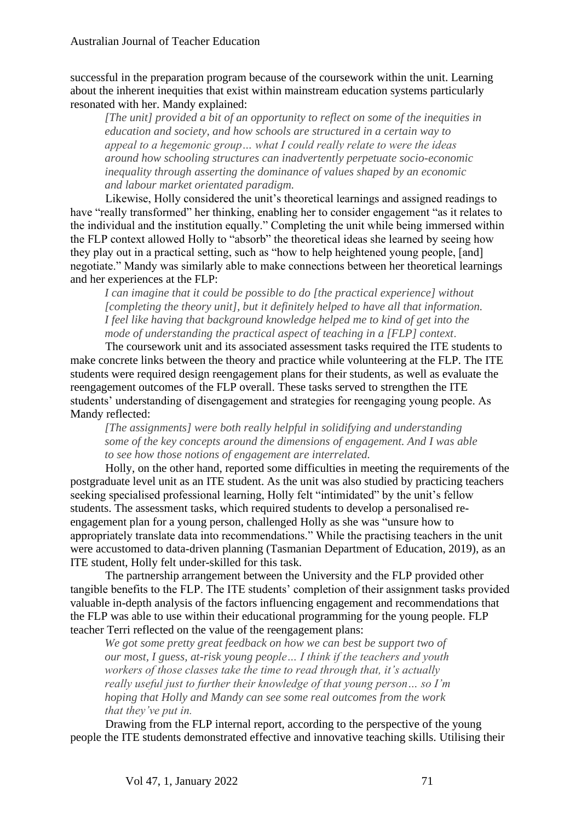successful in the preparation program because of the coursework within the unit. Learning about the inherent inequities that exist within mainstream education systems particularly resonated with her. Mandy explained:

*[The unit] provided a bit of an opportunity to reflect on some of the inequities in education and society, and how schools are structured in a certain way to appeal to a hegemonic group… what I could really relate to were the ideas around how schooling structures can inadvertently perpetuate socio-economic inequality through asserting the dominance of values shaped by an economic and labour market orientated paradigm.*

Likewise, Holly considered the unit's theoretical learnings and assigned readings to have "really transformed" her thinking, enabling her to consider engagement "as it relates to the individual and the institution equally." Completing the unit while being immersed within the FLP context allowed Holly to "absorb" the theoretical ideas she learned by seeing how they play out in a practical setting, such as "how to help heightened young people, [and] negotiate." Mandy was similarly able to make connections between her theoretical learnings and her experiences at the FLP:

*I can imagine that it could be possible to do [the practical experience] without [completing the theory unit], but it definitely helped to have all that information. I feel like having that background knowledge helped me to kind of get into the mode of understanding the practical aspect of teaching in a [FLP] context*.

The coursework unit and its associated assessment tasks required the ITE students to make concrete links between the theory and practice while volunteering at the FLP. The ITE students were required design reengagement plans for their students, as well as evaluate the reengagement outcomes of the FLP overall. These tasks served to strengthen the ITE students' understanding of disengagement and strategies for reengaging young people. As Mandy reflected:

*[The assignments] were both really helpful in solidifying and understanding some of the key concepts around the dimensions of engagement. And I was able to see how those notions of engagement are interrelated.* 

Holly, on the other hand, reported some difficulties in meeting the requirements of the postgraduate level unit as an ITE student. As the unit was also studied by practicing teachers seeking specialised professional learning, Holly felt "intimidated" by the unit's fellow students. The assessment tasks, which required students to develop a personalised reengagement plan for a young person, challenged Holly as she was "unsure how to appropriately translate data into recommendations." While the practising teachers in the unit were accustomed to data-driven planning (Tasmanian Department of Education, 2019), as an ITE student, Holly felt under-skilled for this task.

The partnership arrangement between the University and the FLP provided other tangible benefits to the FLP. The ITE students' completion of their assignment tasks provided valuable in-depth analysis of the factors influencing engagement and recommendations that the FLP was able to use within their educational programming for the young people. FLP teacher Terri reflected on the value of the reengagement plans:

*We got some pretty great feedback on how we can best be support two of our most, I guess, at-risk young people… I think if the teachers and youth workers of those classes take the time to read through that, it's actually really useful just to further their knowledge of that young person… so I'm hoping that Holly and Mandy can see some real outcomes from the work that they've put in.* 

Drawing from the FLP internal report, according to the perspective of the young people the ITE students demonstrated effective and innovative teaching skills. Utilising their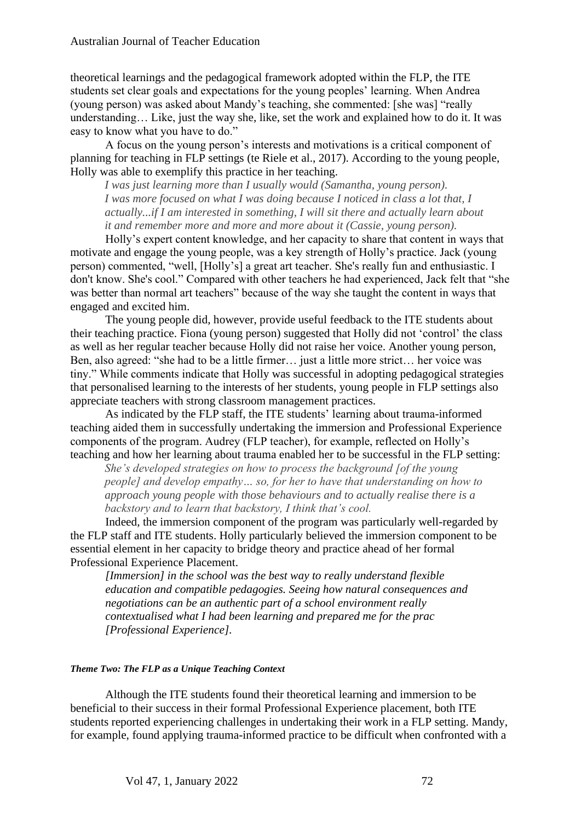theoretical learnings and the pedagogical framework adopted within the FLP, the ITE students set clear goals and expectations for the young peoples' learning. When Andrea (young person) was asked about Mandy's teaching, she commented: [she was] "really understanding… Like, just the way she, like, set the work and explained how to do it. It was easy to know what you have to do."

A focus on the young person's interests and motivations is a critical component of planning for teaching in FLP settings (te Riele et al., 2017). According to the young people, Holly was able to exemplify this practice in her teaching.

*I was just learning more than I usually would (Samantha, young person). I was more focused on what I was doing because I noticed in class a lot that, I actually...if I am interested in something, I will sit there and actually learn about it and remember more and more and more about it (Cassie, young person).* 

Holly's expert content knowledge, and her capacity to share that content in ways that motivate and engage the young people, was a key strength of Holly's practice. Jack (young person) commented, "well, [Holly's] a great art teacher. She's really fun and enthusiastic. I don't know. She's cool." Compared with other teachers he had experienced, Jack felt that "she was better than normal art teachers" because of the way she taught the content in ways that engaged and excited him.

The young people did, however, provide useful feedback to the ITE students about their teaching practice. Fiona (young person) suggested that Holly did not 'control' the class as well as her regular teacher because Holly did not raise her voice. Another young person, Ben, also agreed: "she had to be a little firmer… just a little more strict… her voice was tiny." While comments indicate that Holly was successful in adopting pedagogical strategies that personalised learning to the interests of her students, young people in FLP settings also appreciate teachers with strong classroom management practices.

As indicated by the FLP staff, the ITE students' learning about trauma-informed teaching aided them in successfully undertaking the immersion and Professional Experience components of the program. Audrey (FLP teacher), for example, reflected on Holly's teaching and how her learning about trauma enabled her to be successful in the FLP setting:

*She's developed strategies on how to process the background [of the young people] and develop empathy… so, for her to have that understanding on how to approach young people with those behaviours and to actually realise there is a backstory and to learn that backstory, I think that's cool.* 

Indeed, the immersion component of the program was particularly well-regarded by the FLP staff and ITE students. Holly particularly believed the immersion component to be essential element in her capacity to bridge theory and practice ahead of her formal Professional Experience Placement.

*[Immersion] in the school was the best way to really understand flexible education and compatible pedagogies. Seeing how natural consequences and negotiations can be an authentic part of a school environment really contextualised what I had been learning and prepared me for the prac [Professional Experience].*

#### *Theme Two: The FLP as a Unique Teaching Context*

Although the ITE students found their theoretical learning and immersion to be beneficial to their success in their formal Professional Experience placement, both ITE students reported experiencing challenges in undertaking their work in a FLP setting. Mandy, for example, found applying trauma-informed practice to be difficult when confronted with a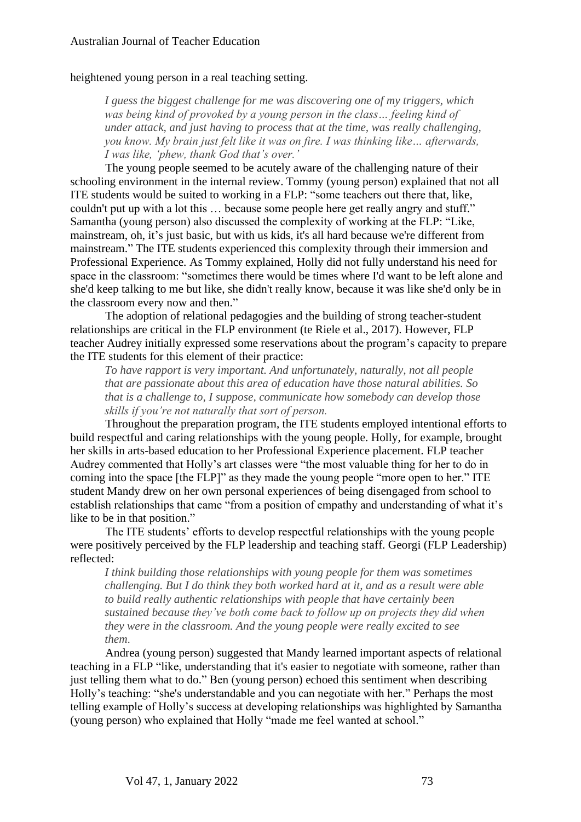#### heightened young person in a real teaching setting.

*I guess the biggest challenge for me was discovering one of my triggers, which was being kind of provoked by a young person in the class… feeling kind of under attack, and just having to process that at the time, was really challenging, you know. My brain just felt like it was on fire. I was thinking like… afterwards, I was like, 'phew, thank God that's over.'*

The young people seemed to be acutely aware of the challenging nature of their schooling environment in the internal review. Tommy (young person) explained that not all ITE students would be suited to working in a FLP: "some teachers out there that, like, couldn't put up with a lot this … because some people here get really angry and stuff." Samantha (young person) also discussed the complexity of working at the FLP: "Like, mainstream, oh, it's just basic, but with us kids, it's all hard because we're different from mainstream." The ITE students experienced this complexity through their immersion and Professional Experience. As Tommy explained, Holly did not fully understand his need for space in the classroom: "sometimes there would be times where I'd want to be left alone and she'd keep talking to me but like, she didn't really know, because it was like she'd only be in the classroom every now and then."

The adoption of relational pedagogies and the building of strong teacher-student relationships are critical in the FLP environment (te Riele et al., 2017). However, FLP teacher Audrey initially expressed some reservations about the program's capacity to prepare the ITE students for this element of their practice:

*To have rapport is very important. And unfortunately, naturally, not all people that are passionate about this area of education have those natural abilities. So that is a challenge to, I suppose, communicate how somebody can develop those skills if you're not naturally that sort of person.*

Throughout the preparation program, the ITE students employed intentional efforts to build respectful and caring relationships with the young people. Holly, for example, brought her skills in arts-based education to her Professional Experience placement. FLP teacher Audrey commented that Holly's art classes were "the most valuable thing for her to do in coming into the space [the FLP]" as they made the young people "more open to her." ITE student Mandy drew on her own personal experiences of being disengaged from school to establish relationships that came "from a position of empathy and understanding of what it's like to be in that position."

The ITE students' efforts to develop respectful relationships with the young people were positively perceived by the FLP leadership and teaching staff. Georgi (FLP Leadership) reflected:

*I think building those relationships with young people for them was sometimes challenging. But I do think they both worked hard at it, and as a result were able to build really authentic relationships with people that have certainly been sustained because they've both come back to follow up on projects they did when they were in the classroom. And the young people were really excited to see them*.

Andrea (young person) suggested that Mandy learned important aspects of relational teaching in a FLP "like, understanding that it's easier to negotiate with someone, rather than just telling them what to do." Ben (young person) echoed this sentiment when describing Holly's teaching: "she's understandable and you can negotiate with her." Perhaps the most telling example of Holly's success at developing relationships was highlighted by Samantha (young person) who explained that Holly "made me feel wanted at school."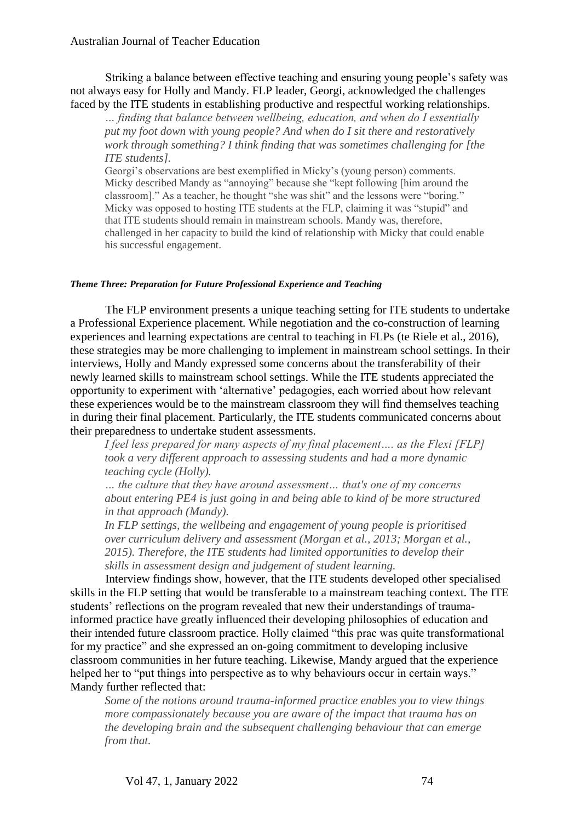Striking a balance between effective teaching and ensuring young people's safety was not always easy for Holly and Mandy. FLP leader, Georgi, acknowledged the challenges faced by the ITE students in establishing productive and respectful working relationships.

*… finding that balance between wellbeing, education, and when do I essentially put my foot down with young people? And when do I sit there and restoratively work through something? I think finding that was sometimes challenging for [the ITE students].*

Georgi's observations are best exemplified in Micky's (young person) comments. Micky described Mandy as "annoying" because she "kept following [him around the classroom]." As a teacher, he thought "she was shit" and the lessons were "boring." Micky was opposed to hosting ITE students at the FLP, claiming it was "stupid" and that ITE students should remain in mainstream schools. Mandy was, therefore, challenged in her capacity to build the kind of relationship with Micky that could enable his successful engagement.

#### *Theme Three: Preparation for Future Professional Experience and Teaching*

The FLP environment presents a unique teaching setting for ITE students to undertake a Professional Experience placement. While negotiation and the co-construction of learning experiences and learning expectations are central to teaching in FLPs (te Riele et al., 2016), these strategies may be more challenging to implement in mainstream school settings. In their interviews, Holly and Mandy expressed some concerns about the transferability of their newly learned skills to mainstream school settings. While the ITE students appreciated the opportunity to experiment with 'alternative' pedagogies, each worried about how relevant these experiences would be to the mainstream classroom they will find themselves teaching in during their final placement. Particularly, the ITE students communicated concerns about their preparedness to undertake student assessments.

*I feel less prepared for many aspects of my final placement…. as the Flexi [FLP] took a very different approach to assessing students and had a more dynamic teaching cycle (Holly).* 

*… the culture that they have around assessment… that's one of my concerns about entering PE4 is just going in and being able to kind of be more structured in that approach (Mandy).* 

*In FLP settings, the wellbeing and engagement of young people is prioritised over curriculum delivery and assessment (Morgan et al., 2013; Morgan et al., 2015). Therefore, the ITE students had limited opportunities to develop their skills in assessment design and judgement of student learning.* 

Interview findings show, however, that the ITE students developed other specialised skills in the FLP setting that would be transferable to a mainstream teaching context. The ITE students' reflections on the program revealed that new their understandings of traumainformed practice have greatly influenced their developing philosophies of education and their intended future classroom practice. Holly claimed "this prac was quite transformational for my practice" and she expressed an on-going commitment to developing inclusive classroom communities in her future teaching. Likewise, Mandy argued that the experience helped her to "put things into perspective as to why behaviours occur in certain ways." Mandy further reflected that:

*Some of the notions around trauma-informed practice enables you to view things more compassionately because you are aware of the impact that trauma has on the developing brain and the subsequent challenging behaviour that can emerge from that.*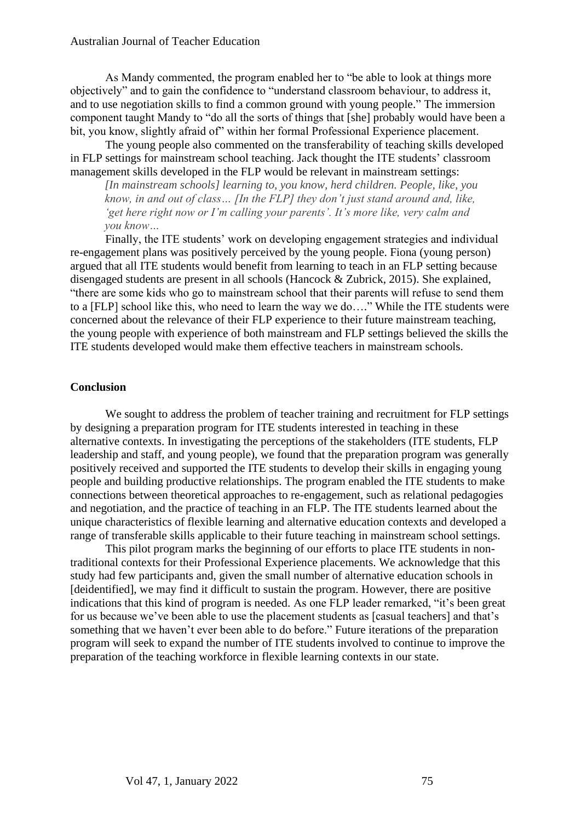As Mandy commented, the program enabled her to "be able to look at things more objectively" and to gain the confidence to "understand classroom behaviour, to address it, and to use negotiation skills to find a common ground with young people." The immersion component taught Mandy to "do all the sorts of things that [she] probably would have been a bit, you know, slightly afraid of" within her formal Professional Experience placement.

The young people also commented on the transferability of teaching skills developed in FLP settings for mainstream school teaching. Jack thought the ITE students' classroom management skills developed in the FLP would be relevant in mainstream settings:

*[In mainstream schools] learning to, you know, herd children. People, like, you know, in and out of class… [In the FLP] they don't just stand around and, like, 'get here right now or I'm calling your parents'. It's more like, very calm and you know…* 

Finally, the ITE students' work on developing engagement strategies and individual re-engagement plans was positively perceived by the young people. Fiona (young person) argued that all ITE students would benefit from learning to teach in an FLP setting because disengaged students are present in all schools (Hancock & Zubrick, 2015). She explained, "there are some kids who go to mainstream school that their parents will refuse to send them to a [FLP] school like this, who need to learn the way we do…." While the ITE students were concerned about the relevance of their FLP experience to their future mainstream teaching, the young people with experience of both mainstream and FLP settings believed the skills the ITE students developed would make them effective teachers in mainstream schools.

#### **Conclusion**

We sought to address the problem of teacher training and recruitment for FLP settings by designing a preparation program for ITE students interested in teaching in these alternative contexts. In investigating the perceptions of the stakeholders (ITE students, FLP leadership and staff, and young people), we found that the preparation program was generally positively received and supported the ITE students to develop their skills in engaging young people and building productive relationships. The program enabled the ITE students to make connections between theoretical approaches to re-engagement, such as relational pedagogies and negotiation, and the practice of teaching in an FLP. The ITE students learned about the unique characteristics of flexible learning and alternative education contexts and developed a range of transferable skills applicable to their future teaching in mainstream school settings.

This pilot program marks the beginning of our efforts to place ITE students in nontraditional contexts for their Professional Experience placements. We acknowledge that this study had few participants and, given the small number of alternative education schools in [deidentified], we may find it difficult to sustain the program. However, there are positive indications that this kind of program is needed. As one FLP leader remarked, "it's been great for us because we've been able to use the placement students as [casual teachers] and that's something that we haven't ever been able to do before." Future iterations of the preparation program will seek to expand the number of ITE students involved to continue to improve the preparation of the teaching workforce in flexible learning contexts in our state.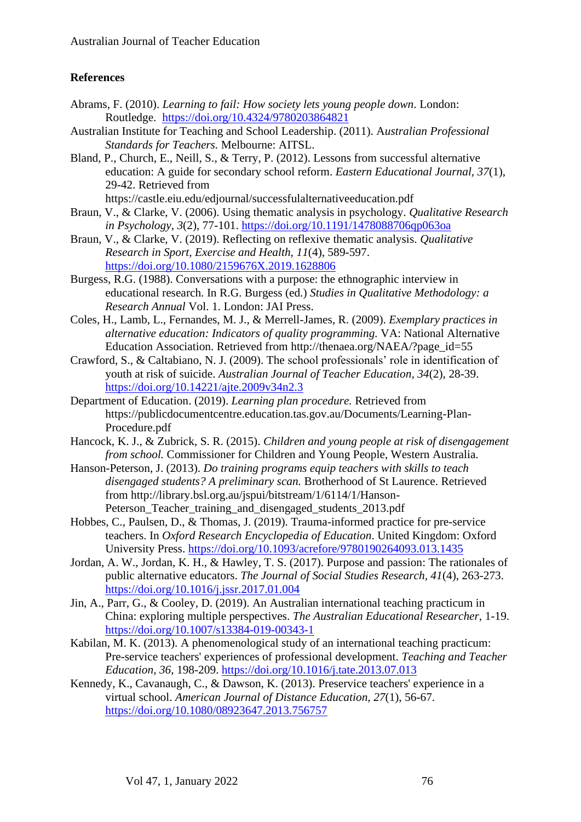## **References**

- Abrams, F. (2010). *Learning to fail: How society lets young people down*. London: Routledge. <https://doi.org/10.4324/9780203864821>
- Australian Institute for Teaching and School Leadership. (2011). A*ustralian Professional Standards for Teachers.* Melbourne: AITSL.
- Bland, P., Church, E., Neill, S., & Terry, P. (2012). Lessons from successful alternative education: A guide for secondary school reform. *Eastern Educational Journal, 37*(1), 29-42. Retrieved from

https://castle.eiu.edu/edjournal/successfulalternativeeducation.pdf

- Braun, V., & Clarke, V. (2006). Using thematic analysis in psychology. *Qualitative Research in Psychology*, *3*(2), 77-101. <https://doi.org/10.1191/1478088706qp063oa>
- Braun, V., & Clarke, V. (2019). Reflecting on reflexive thematic analysis. *Qualitative Research in Sport, Exercise and Health, 11*(4), 589-597. <https://doi.org/10.1080/2159676X.2019.1628806>
- Burgess, R.G. (1988). Conversations with a purpose: the ethnographic interview in educational research. In R.G. Burgess (ed.) *Studies in Qualitative Methodology: a Research Annual* Vol. 1. London: JAI Press.
- Coles, H., Lamb, L., Fernandes, M. J., & Merrell-James, R. (2009). *Exemplary practices in alternative education: Indicators of quality programming.* VA: National Alternative Education Association. Retrieved from [http://thenaea.org/NAEA/?page\\_id=55](http://thenaea.org/NAEA/?page_id=55)
- Crawford, S., & Caltabiano, N. J. (2009). The school professionals' role in identification of youth at risk of suicide. *Australian Journal of Teacher Education, 34*(2), 28-39. <https://doi.org/10.14221/ajte.2009v34n2.3>
- Department of Education. (2019). *Learning plan procedure.* Retrieved from https://publicdocumentcentre.education.tas.gov.au/Documents/Learning-Plan-Procedure.pdf
- Hancock, K. J., & Zubrick, S. R. (2015). *Children and young people at risk of disengagement from school.* Commissioner for Children and Young People, Western Australia.
- Hanson-Peterson, J. (2013). *Do training programs equip teachers with skills to teach disengaged students? A preliminary scan.* Brotherhood of St Laurence. Retrieved from [http://library.bsl.org.au/jspui/bitstream/1/6114/1/Hanson-](http://library.bsl.org.au/jspui/bitstream/1/6114/1/Hanson-Peterson_Teacher_training_and_disengaged_students_2013.pdf)Peterson Teacher training and disengaged students 2013.pdf
- Hobbes, C., Paulsen, D., & Thomas, J. (2019). Trauma-informed practice for pre-service teachers. In *Oxford Research Encyclopedia of Education*. United Kingdom: Oxford University Press. <https://doi.org/10.1093/acrefore/9780190264093.013.1435>
- Jordan, A. W., Jordan, K. H., & Hawley, T. S. (2017). Purpose and passion: The rationales of public alternative educators. *The Journal of Social Studies Research, 41*(4), 263-273. <https://doi.org/10.1016/j.jssr.2017.01.004>
- Jin, A., Parr, G., & Cooley, D. (2019). An Australian international teaching practicum in China: exploring multiple perspectives. *The Australian Educational Researcher,* 1-19. <https://doi.org/10.1007/s13384-019-00343-1>
- Kabilan, M. K. (2013). A phenomenological study of an international teaching practicum: Pre-service teachers' experiences of professional development. *Teaching and Teacher Education, 36*, 198-209. <https://doi.org/10.1016/j.tate.2013.07.013>
- Kennedy, K., Cavanaugh, C., & Dawson, K. (2013). Preservice teachers' experience in a virtual school. *American Journal of Distance Education, 27*(1), 56-67. <https://doi.org/10.1080/08923647.2013.756757>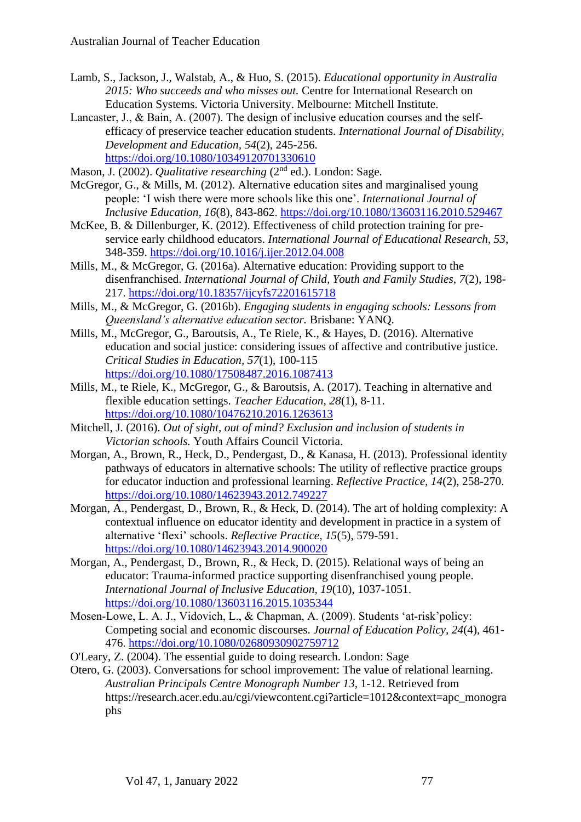- Lamb, S., Jackson, J., Walstab, A., & Huo, S. (2015). *Educational opportunity in Australia 2015: Who succeeds and who misses out.* Centre for International Research on Education Systems. Victoria University. Melbourne: Mitchell Institute.
- Lancaster, J., & Bain, A. (2007). The design of inclusive education courses and the selfefficacy of preservice teacher education students. *International Journal of Disability, Development and Education, 54*(2), 245-256. <https://doi.org/10.1080/10349120701330610>
- Mason, J. (2002). *Qualitative researching* (2<sup>nd</sup> ed.). London: Sage.
- McGregor, G., & Mills, M. (2012). Alternative education sites and marginalised young people: 'I wish there were more schools like this one'. *International Journal of Inclusive Education, 16*(8), 843-862.<https://doi.org/10.1080/13603116.2010.529467>
- McKee, B. & Dillenburger, K. (2012). Effectiveness of child protection training for preservice early childhood educators. *International Journal of Educational Research, 53*, 348-359.<https://doi.org/10.1016/j.ijer.2012.04.008>
- Mills, M., & McGregor, G. (2016a). Alternative education: Providing support to the disenfranchised. *International Journal of Child, Youth and Family Studies, 7*(2), 198- 217.<https://doi.org/10.18357/ijcyfs72201615718>
- Mills, M., & McGregor, G. (2016b). *Engaging students in engaging schools: Lessons from Queensland's alternative education sector.* Brisbane: YANQ.
- Mills, M., McGregor, G., Baroutsis, A., Te Riele, K., & Hayes, D. (2016). Alternative education and social justice: considering issues of affective and contributive justice. *Critical Studies in Education, 57*(1), 100-115 <https://doi.org/10.1080/17508487.2016.1087413>
- Mills, M., te Riele, K., McGregor, G., & Baroutsis, A. (2017). Teaching in alternative and flexible education settings. *Teacher Education, 28*(1), 8-11. <https://doi.org/10.1080/10476210.2016.1263613>
- Mitchell, J. (2016). *Out of sight, out of mind? Exclusion and inclusion of students in Victorian schools.* Youth Affairs Council Victoria.
- Morgan, A., Brown, R., Heck, D., Pendergast, D., & Kanasa, H. (2013). Professional identity pathways of educators in alternative schools: The utility of reflective practice groups for educator induction and professional learning. *Reflective Practice, 14*(2), 258-270. <https://doi.org/10.1080/14623943.2012.749227>
- Morgan, A., Pendergast, D., Brown, R., & Heck, D. (2014). The art of holding complexity: A contextual influence on educator identity and development in practice in a system of alternative 'flexi' schools. *Reflective Practice, 15*(5), 579-591. <https://doi.org/10.1080/14623943.2014.900020>
- Morgan, A., Pendergast, D., Brown, R., & Heck, D. (2015). Relational ways of being an educator: Trauma-informed practice supporting disenfranchised young people. *International Journal of Inclusive Education, 19*(10), 1037-1051. <https://doi.org/10.1080/13603116.2015.1035344>
- Mosen-Lowe, L. A. J., Vidovich, L., & Chapman, A. (2009). Students 'at-risk'policy: Competing social and economic discourses. *Journal of Education Policy, 24*(4), 461- 476. <https://doi.org/10.1080/02680930902759712>
- O'Leary, Z. (2004). The essential guide to doing research. London: Sage
- Otero, G. (2003). Conversations for school improvement: The value of relational learning. *Australian Principals Centre Monograph Number 13,* 1-12. Retrieved from https://research.acer.edu.au/cgi/viewcontent.cgi?article=1012&context=apc\_monogra phs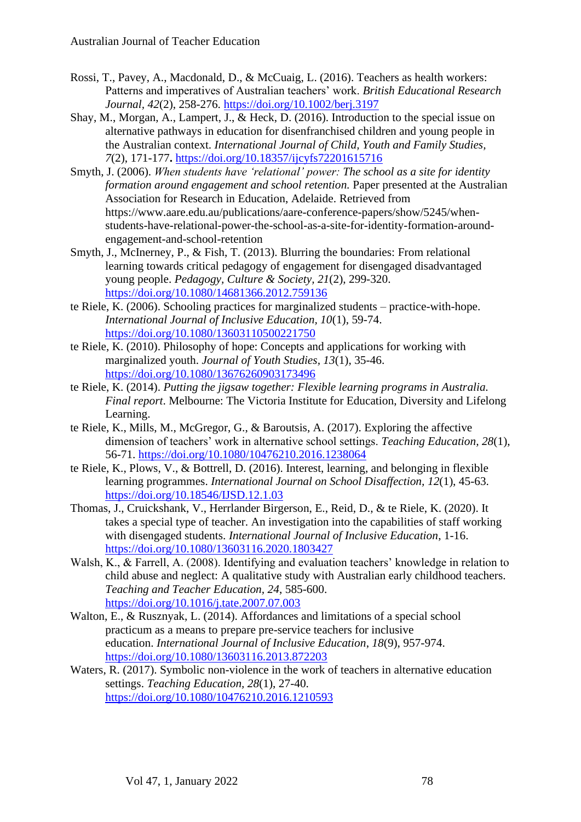- Rossi, T., Pavey, A., Macdonald, D., & McCuaig, L. (2016). Teachers as health workers: Patterns and imperatives of Australian teachers' work. *British Educational Research Journal, 42*(2), 258-276.<https://doi.org/10.1002/berj.3197>
- Shay, M., Morgan, A., Lampert, J., & Heck, D. (2016). Introduction to the special issue on alternative pathways in education for disenfranchised children and young people in the Australian context. *International Journal of Child, Youth and Family Studies, 7*(2), 171-177**.** <https://doi.org/10.18357/ijcyfs72201615716>
- Smyth, J. (2006). *When students have 'relational' power: The school as a site for identity formation around engagement and school retention.* Paper presented at the Australian Association for Research in Education, Adelaide. Retrieved from https://www.aare.edu.au/publications/aare-conference-papers/show/5245/whenstudents-have-relational-power-the-school-as-a-site-for-identity-formation-aroundengagement-and-school-retention
- Smyth, J., McInerney, P., & Fish, T. (2013). Blurring the boundaries: From relational learning towards critical pedagogy of engagement for disengaged disadvantaged young people. *Pedagogy, Culture & Society, 21*(2), 299-320. <https://doi.org/10.1080/14681366.2012.759136>
- te Riele, K. (2006). Schooling practices for marginalized students practice-with-hope. *International Journal of Inclusive Education, 10*(1), 59-74. <https://doi.org/10.1080/13603110500221750>
- te Riele, K. (2010). Philosophy of hope: Concepts and applications for working with marginalized youth. *Journal of Youth Studies, 13*(1), 35-46. <https://doi.org/10.1080/13676260903173496>
- te Riele, K. (2014). *Putting the jigsaw together: Flexible learning programs in Australia. Final report*. Melbourne: The Victoria Institute for Education, Diversity and Lifelong Learning.
- te Riele, K., Mills, M., McGregor, G., & Baroutsis, A. (2017). Exploring the affective dimension of teachers' work in alternative school settings. *Teaching Education, 28*(1), 56-71.<https://doi.org/10.1080/10476210.2016.1238064>
- te Riele, K., Plows, V., & Bottrell, D. (2016). Interest, learning, and belonging in flexible learning programmes. *International Journal on School Disaffection, 12*(1), 45-63. <https://doi.org/10.18546/IJSD.12.1.03>
- Thomas, J., Cruickshank, V., Herrlander Birgerson, E., Reid, D., & te Riele, K. (2020). It takes a special type of teacher. An investigation into the capabilities of staff working with disengaged students. *International Journal of Inclusive Education*, 1-16. <https://doi.org/10.1080/13603116.2020.1803427>
- Walsh, K., & Farrell, A. (2008). Identifying and evaluation teachers' knowledge in relation to child abuse and neglect: A qualitative study with Australian early childhood teachers. *Teaching and Teacher Education, 24*, 585-600. <https://doi.org/10.1016/j.tate.2007.07.003>
- Walton, E., & Rusznyak, L. (2014). Affordances and limitations of a special school practicum as a means to prepare pre-service teachers for inclusive education. *International Journal of Inclusive Education*, *18*(9), 957-974. <https://doi.org/10.1080/13603116.2013.872203>
- Waters, R. (2017). Symbolic non-violence in the work of teachers in alternative education settings. *Teaching Education, 28*(1), 27-40. <https://doi.org/10.1080/10476210.2016.1210593>